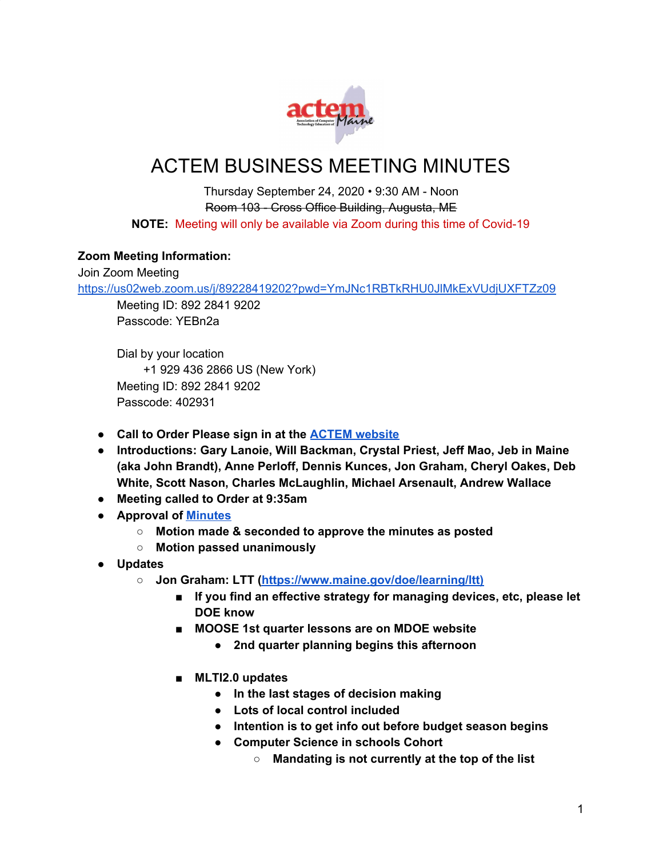

# ACTEM BUSINESS MEETING MINUTES

Thursday September 24, 2020 • 9:30 AM - Noon Room 103 - Cross Office Building, Augusta, ME **NOTE:** Meeting will only be available via Zoom during this time of Covid-19

# **Zoom Meeting Information:**

Join Zoom Meeting

<https://us02web.zoom.us/j/89228419202?pwd=YmJNc1RBTkRHU0JlMkExVUdjUXFTZz09>

Meeting ID: 892 2841 9202 Passcode: YEBn2a

Dial by your location +1 929 436 2866 US (New York) Meeting ID: 892 2841 9202 Passcode: 402931

- **● Call to Order Please sign in at the ACTEM [website](https://docs.google.com/forms/d/e/1FAIpQLSeYQyg9SyUVDdkvJ7SBDoo4DEfrKK1Y_w7DH7GUFsu16T-OvA/viewform?fbzx=-352363821844841307)**
- **● Introductions: Gary Lanoie, Will Backman, Crystal Priest, Jeff Mao, Jeb in Maine (aka John Brandt), Anne Perloff, Dennis Kunces, Jon Graham, Cheryl Oakes, Deb White, Scott Nason, Charles McLaughlin, Michael Arsenault, Andrew Wallace**
- **● Meeting called to Order at 9:35am**
- **● Approval of [Minutes](http://www.actem.org/resources/Documents/2020%20May%2021%20ACTEM%20Business%20Meeting%20Minutes.pdf)**
	- **○ Motion made & seconded to approve the minutes as posted**
	- **○ Motion passed unanimously**
- **● Updates**
	- **○ Jon Graham: LTT ([https://www.maine.gov/doe/learning/ltt\)](https://www.maine.gov/doe/learning/ltt))**
		- **■ If you find an effective strategy for managing devices, etc, please let DOE know**
		- **■ MOOSE 1st quarter lessons are on MDOE website**
			- **● 2nd quarter planning begins this afternoon**
		- **■ MLTI2.0 updates**
			- **● In the last stages of decision making**
			- **● Lots of local control included**
			- **● Intention is to get info out before budget season begins**
			- **● Computer Science in schools Cohort**
				- **○ Mandating is not currently at the top of the list**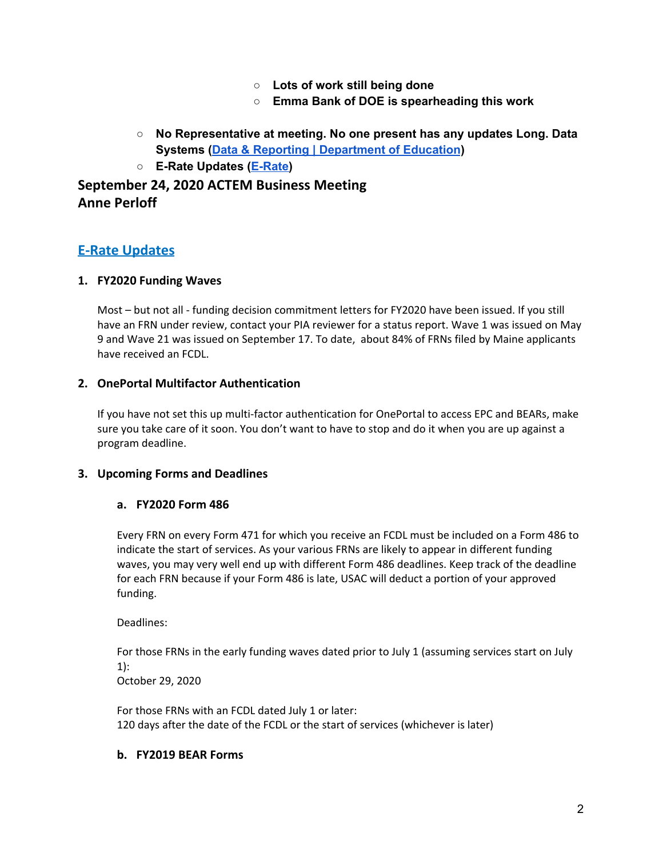- **○ Lots of work still being done**
- **○ Emma Bank of DOE is spearheading this work**
- **○ No Representative at meeting. No one present has any updates Long. Data Systems (Data & Reporting | [Department](https://www.maine.gov/doe/data-reporting) of Education)**
- **○ E-Rate Updates ([E-Rate\)](http://erate.networkmaine.net/)**

**September 24, 2020 ACTEM Business Meeting Anne Perloff**

# **E-Rate Updates**

#### **1. FY2020 Funding Waves**

Most – but not all - funding decision commitment letters for FY2020 have been issued. If you still have an FRN under review, contact your PIA reviewer for a status report. Wave 1 was issued on May 9 and Wave 21 was issued on September 17. To date, about 84% of FRNs filed by Maine applicants have received an FCDL.

## **2. OnePortal Multifactor Authentication**

If you have not set this up multi-factor authentication for OnePortal to access EPC and BEARs, make sure you take care of it soon. You don't want to have to stop and do it when you are up against a program deadline.

## **3. Upcoming Forms and Deadlines**

## **a. FY2020 Form 486**

Every FRN on every Form 471 for which you receive an FCDL must be included on a Form 486 to indicate the start of services. As your various FRNs are likely to appear in different funding waves, you may very well end up with different Form 486 deadlines. Keep track of the deadline for each FRN because if your Form 486 is late, USAC will deduct a portion of your approved funding.

Deadlines:

For those FRNs in the early funding waves dated prior to July 1 (assuming services start on July 1):

October 29, 2020

For those FRNs with an FCDL dated July 1 or later: 120 days after the date of the FCDL or the start of services (whichever is later)

#### **b. FY2019 BEAR Forms**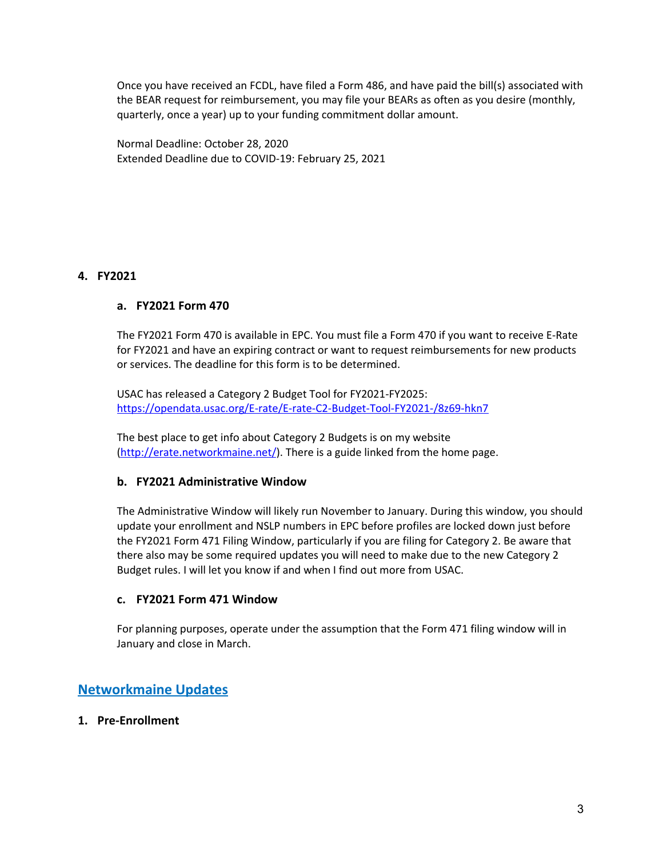Once you have received an FCDL, have filed a Form 486, and have paid the bill(s) associated with the BEAR request for reimbursement, you may file your BEARs as often as you desire (monthly, quarterly, once a year) up to your funding commitment dollar amount.

Normal Deadline: October 28, 2020 Extended Deadline due to COVID-19: February 25, 2021

# **4. FY2021**

## **a. FY2021 Form 470**

The FY2021 Form 470 is available in EPC. You must file a Form 470 if you want to receive E-Rate for FY2021 and have an expiring contract or want to request reimbursements for new products or services. The deadline for this form is to be determined.

USAC has released a Category 2 Budget Tool for FY2021-FY2025: <https://opendata.usac.org/E-rate/E-rate-C2-Budget-Tool-FY2021-/8z69-hkn7>

The best place to get info about Category 2 Budgets is on my website [\(http://erate.networkmaine.net/](http://erate.networkmaine.net/)). There is a guide linked from the home page.

#### **b. FY2021 Administrative Window**

The Administrative Window will likely run November to January. During this window, you should update your enrollment and NSLP numbers in EPC before profiles are locked down just before the FY2021 Form 471 Filing Window, particularly if you are filing for Category 2. Be aware that there also may be some required updates you will need to make due to the new Category 2 Budget rules. I will let you know if and when I find out more from USAC.

#### **c. FY2021 Form 471 Window**

For planning purposes, operate under the assumption that the Form 471 filing window will in January and close in March.

# **Networkmaine Updates**

## **1. Pre-Enrollment**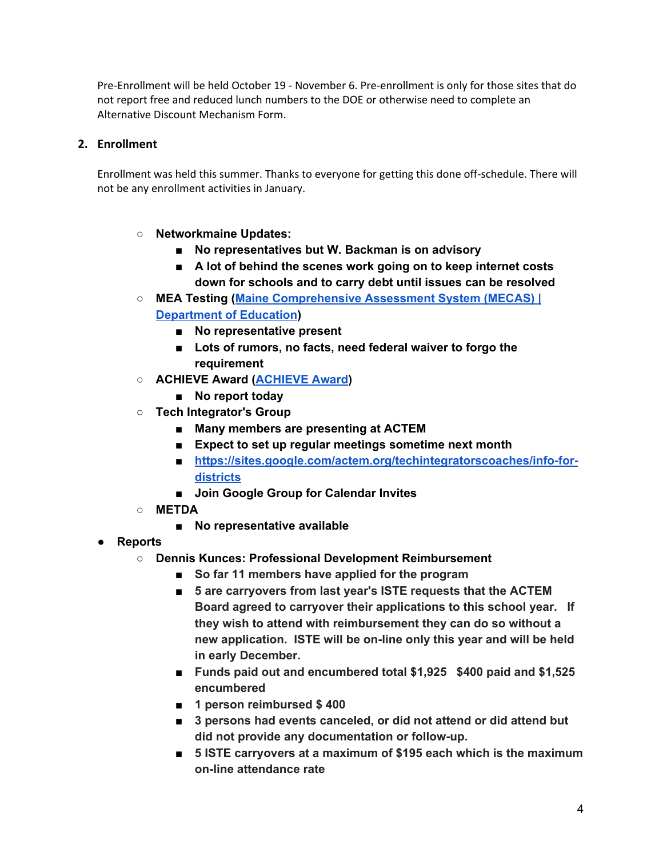Pre-Enrollment will be held October 19 - November 6. Pre-enrollment is only for those sites that do not report free and reduced lunch numbers to the DOE or otherwise need to complete an Alternative Discount Mechanism Form.

# **2. Enrollment**

Enrollment was held this summer. Thanks to everyone for getting this done off-schedule. There will not be any enrollment activities in January.

- **○ Networkmaine Updates:**
	- **■ No representatives but W. Backman is on advisory**
	- **■ A lot of behind the scenes work going on to keep internet costs down for schools and to carry debt until issues can be resolved**
- **○ MEA Testing (Maine [Comprehensive](https://www.maine.gov/doe/Testing_Accountability/MECAS) Assessment System (MECAS) | [Department](https://www.maine.gov/doe/Testing_Accountability/MECAS) of Education)**
	- **■ No representative present**
	- **■ Lots of rumors, no facts, need federal waiver to forgo the requirement**
- **○ ACHIEVE Award [\(ACHIEVE](http://www.actem.org/AchieveAward) Award)**
	- **■ No report today**
- **○ Tech Integrator's Group**
	- **■ Many members are presenting at ACTEM**
	- **■ Expect to set up regular meetings sometime next month**
	- [https://sites.google.com/actem.org/techintegratorscoaches/info-for](https://sites.google.com/actem.org/techintegratorscoaches/info-for-districts)**[districts](https://sites.google.com/actem.org/techintegratorscoaches/info-for-districts)**
	- **■ Join Google Group for Calendar Invites**
- **○ METDA**
	- **■ No representative available**
- **● Reports**
	- **○ Dennis Kunces: Professional Development Reimbursement**
		- **■ So far 11 members have applied for the program**
		- **■ 5 are carryovers from last year's ISTE requests that the ACTEM Board agreed to carryover their applications to this school year. If they wish to attend with reimbursement they can do so without a new application. ISTE will be on-line only this year and will be held in early December.**
		- **■ Funds paid out and encumbered total \$1,925 \$400 paid and \$1,525 encumbered**
		- **■ 1 person reimbursed \$ 400**
		- **■ 3 persons had events canceled, or did not attend or did attend but did not provide any documentation or follow-up.**
		- **■ 5 ISTE carryovers at a maximum of \$195 each which is the maximum on-line attendance rate**